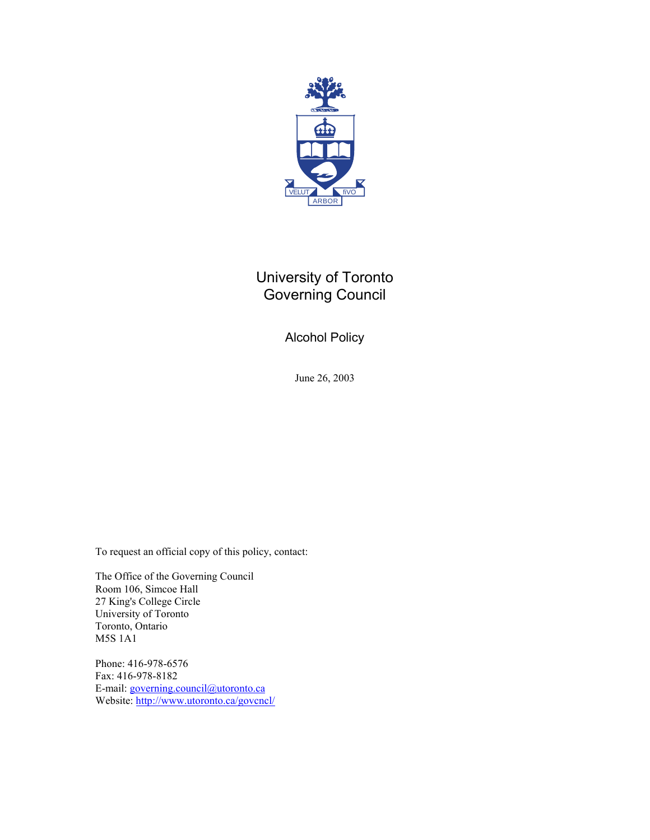

# University of Toronto Governing Council

Alcohol Policy

June 26, 2003

To request an official copy of this policy, contact:

The Office of the Governing Council Room 106, Simcoe Hall 27 King's College Circle University of Toronto Toronto, Ontario M5S 1A1

Phone: 416-978-6576 Fax: 416-978-8182 E-mail: [governing.council@utoronto.ca](mailto:governing.council@utoronto.ca) Website:<http://www.utoronto.ca/govcncl/>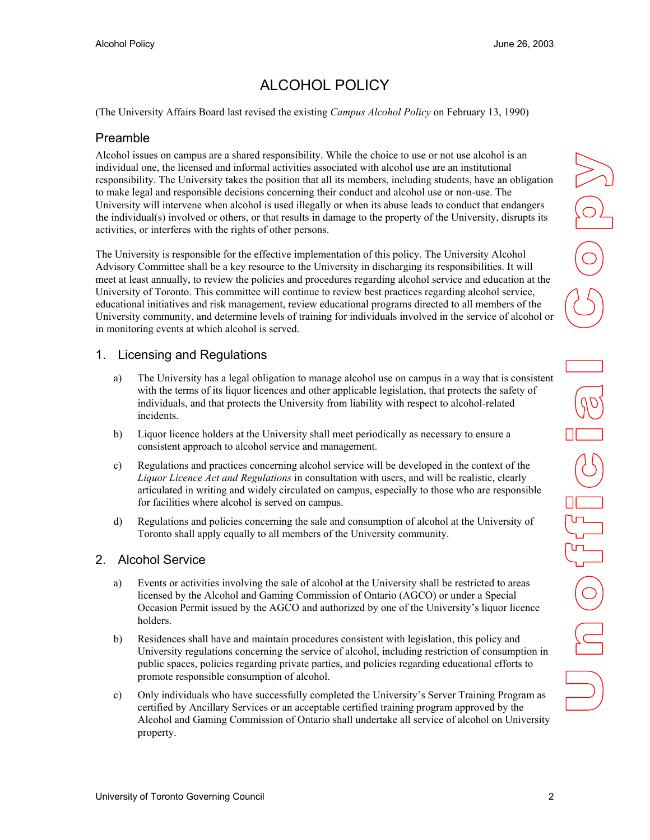# ALCOHOL POLICY

(The University Affairs Board last revised the existing *Campus Alcohol Policy* on February 13, 1990)

#### Preamble

Alcohol issues on campus are a shared responsibility. While the choice to use or not use alcohol is an individual one, the licensed and informal activities associated with alcohol use are an institutional responsibility. The University takes the position that all its members, including students, have an obligation to make legal and responsible decisions concerning their conduct and alcohol use or non-use. The University will intervene when alcohol is used illegally or when its abuse leads to conduct that endangers the individual(s) involved or others, or that results in damage to the property of the University, disrupts its activities, or interferes with the rights of other persons.

The University is responsible for the effective implementation of this policy. The University Alcohol Advisory Committee shall be a key resource to the University in discharging its responsibilities. It will meet at least annually, to review the policies and procedures regarding alcohol service and education at the University of Toronto. This committee will continue to review best practices regarding alcohol service, educational initiatives and risk management, review educational programs directed to all members of the University community, and determine levels of training for individuals involved in the service of alcohol or in monitoring events at which alcohol is served.

## 1. Licensing and Regulations

- a) The University has a legal obligation to manage alcohol use on campus in a way that is consistent with the terms of its liquor licences and other applicable legislation, that protects the safety of individuals, and that protects the University from liability with respect to alcohol-related incidents.
- b) Liquor licence holders at the University shall meet periodically as necessary to ensure a consistent approach to alcohol service and management.
- c) Regulations and practices concerning alcohol service will be developed in the context of the *Liquor Licence Act and Regulations* in consultation with users, and will be realistic, clearly articulated in writing and widely circulated on campus, especially to those who are responsible for facilities where alcohol is served on campus.
- d) Regulations and policies concerning the sale and consumption of alcohol at the University of Toronto shall apply equally to all members of the University community.

### 2. Alcohol Service

- a) Events or activities involving the sale of alcohol at the University shall be restricted to areas licensed by the Alcohol and Gaming Commission of Ontario (AGCO) or under a Special Occasion Permit issued by the AGCO and authorized by one of the University's liquor licence holders.
- b) Residences shall have and maintain procedures consistent with legislation, this policy and University regulations concerning the service of alcohol, including restriction of consumption in public spaces, policies regarding private parties, and policies regarding educational efforts to promote responsible consumption of alcohol.
- c) Only individuals who have successfully completed the University's Server Training Program as certified by Ancillary Services or an acceptable certified training program approved by the Alcohol and Gaming Commission of Ontario shall undertake all service of alcohol on University property.